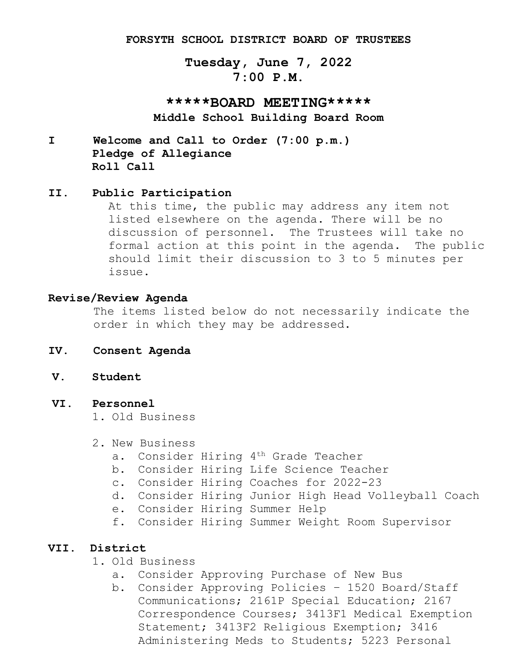#### **FORSYTH SCHOOL DISTRICT BOARD OF TRUSTEES**

# **Tuesday, June 7, 2022 7:00 P.M.**

**\*\*\*\*\*BOARD MEETING\*\*\*\*\* Middle School Building Board Room**

**I Welcome and Call to Order (7:00 p.m.) Pledge of Allegiance Roll Call**

#### **II. Public Participation**

At this time, the public may address any item not listed elsewhere on the agenda. There will be no discussion of personnel. The Trustees will take no formal action at this point in the agenda. The public should limit their discussion to 3 to 5 minutes per issue.

#### **Revise/Review Agenda**

The items listed below do not necessarily indicate the order in which they may be addressed.

- **IV. Consent Agenda**
- **V. Student**

#### **VI. Personnel**

1. Old Business

- 2. New Business
	- a. Consider Hiring 4th Grade Teacher
	- b. Consider Hiring Life Science Teacher
	- c. Consider Hiring Coaches for 2022-23
	- d. Consider Hiring Junior High Head Volleyball Coach
	- e. Consider Hiring Summer Help
	- f. Consider Hiring Summer Weight Room Supervisor

### **VII. District**

- 1. Old Business
	- a. Consider Approving Purchase of New Bus
	- b. Consider Approving Policies 1520 Board/Staff Communications; 2161P Special Education; 2167 Correspondence Courses; 3413F1 Medical Exemption Statement; 3413F2 Religious Exemption; 3416 Administering Meds to Students; 5223 Personal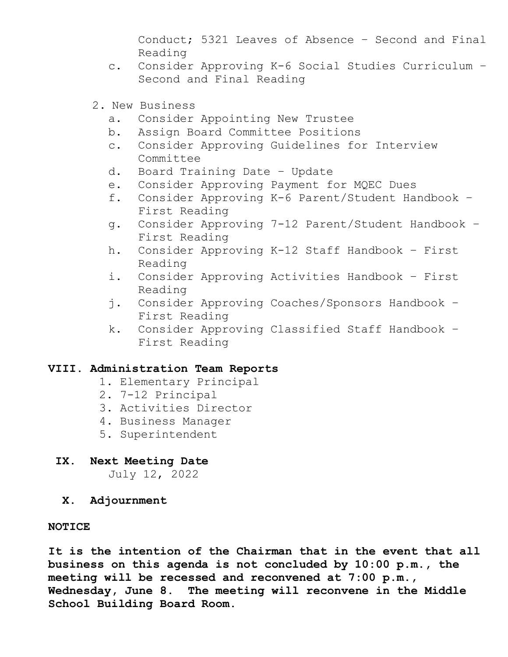Conduct; 5321 Leaves of Absence – Second and Final Reading

- c. Consider Approving K-6 Social Studies Curriculum Second and Final Reading
- 2. New Business
	- a. Consider Appointing New Trustee
	- b. Assign Board Committee Positions
	- c. Consider Approving Guidelines for Interview Committee
	- d. Board Training Date Update
	- e. Consider Approving Payment for MQEC Dues
	- f. Consider Approving K-6 Parent/Student Handbook First Reading
	- g. Consider Approving 7-12 Parent/Student Handbook First Reading
	- h. Consider Approving K-12 Staff Handbook First Reading
	- i. Consider Approving Activities Handbook First Reading
	- j. Consider Approving Coaches/Sponsors Handbook First Reading
	- k. Consider Approving Classified Staff Handbook First Reading

## **VIII. Administration Team Reports**

- 1. Elementary Principal
- 2. 7-12 Principal
- 3. Activities Director
- 4. Business Manager
- 5. Superintendent
- **IX. Next Meeting Date**

July 12, 2022

 **X. Adjournment**

### **NOTICE**

**It is the intention of the Chairman that in the event that all business on this agenda is not concluded by 10:00 p.m., the meeting will be recessed and reconvened at 7:00 p.m., Wednesday, June 8. The meeting will reconvene in the Middle School Building Board Room.**